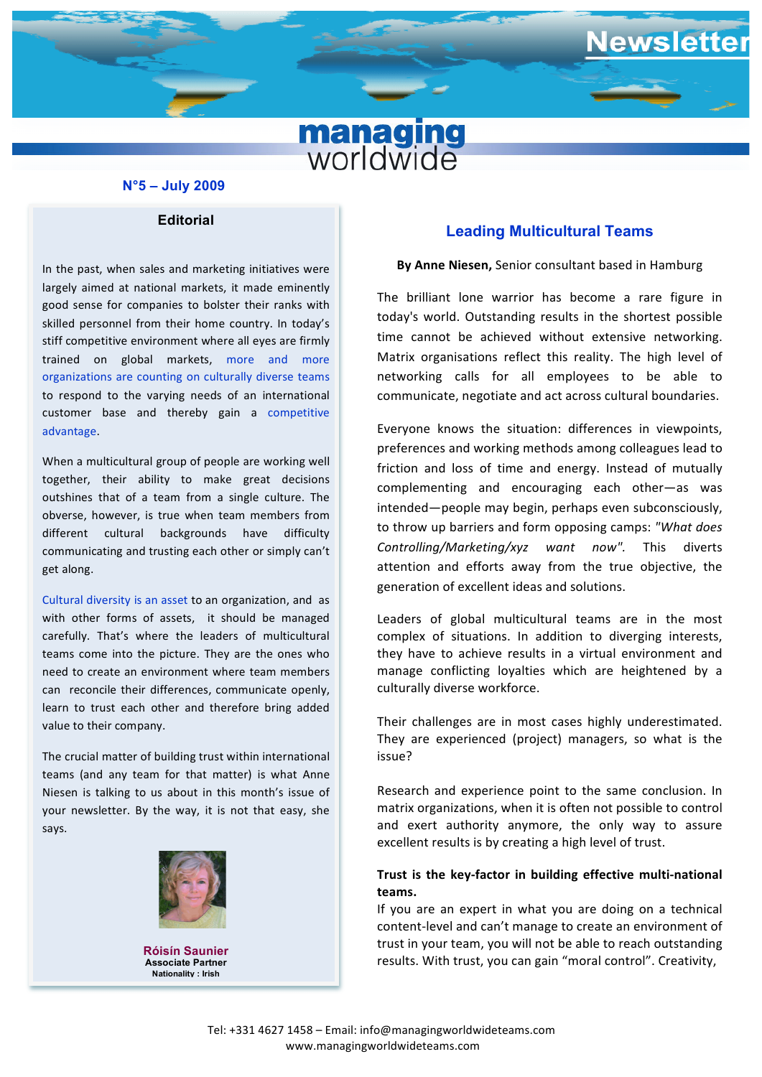

### **N°5 – July 2009**

**Editorial**

good sense for companies to bolster their ranks with to respond to the varying needs of an international In the past, when sales and marketing initiatives were largely aimed at national markets, it made eminently skilled personnel from their home country. In today's stiff competitive environment where all eyes are firmly trained on global markets, more and more organizations are counting on culturally diverse teams customer base and thereby gain a competitive advantage.

When a multicultural group of people are working well together, their ability to make great decisions outshines that of a team from a single culture. The obverse, however, is true when team members from different cultural backgrounds have difficulty communicating and trusting each other or simply can't get along.

Cultural diversity is an asset to an organization, and as with other forms of assets, it should be managed carefully. That's where the leaders of multicultural teams come into the picture. They are the ones who need to create an environment where team members can reconcile their differences, communicate openly, learn to trust each other and therefore bring added value to their company.

The crucial matter of building trust within international teams (and any team for that matter) is what Anne Niesen is talking to us about in this month's issue of your newsletter. By the way, it is not that easy, she says.



**Róisín Saunier Associate Partner Nationality : Irish**

\_\_

# **Leading Multicultural Teams**

ewsletter

#### **By Anne Niesen, Senior consultant based in Hamburg**

The brilliant lone warrior has become a rare figure in today's world. Outstanding results in the shortest possible time cannot be achieved without extensive networking. Matrix organisations reflect this reality. The high level of networking calls for all employees to be able to communicate, negotiate and act across cultural boundaries.

Everyone knows the situation: differences in viewpoints, preferences and working methods among colleagues lead to friction and loss of time and energy. Instead of mutually complementing and encouraging each other—as was intended—people may begin, perhaps even subconsciously, to throw up barriers and form opposing camps: "What does *Controlling/Marketing/xyz want now".* This diverts attention and efforts away from the true objective, the generation of excellent ideas and solutions.

Leaders of global multicultural teams are in the most complex of situations. In addition to diverging interests, they have to achieve results in a virtual environment and manage conflicting loyalties which are heightened by a culturally diverse workforce.

Their challenges are in most cases highly underestimated. They are experienced (project) managers, so what is the issue?

Research and experience point to the same conclusion. In matrix organizations, when it is often not possible to control and exert authority anymore, the only way to assure excellent results is by creating a high level of trust.

### Trust is the key-factor in building effective multi-national **teams.**

If you are an expert in what you are doing on a technical content-level and can't manage to create an environment of trust in your team, you will not be able to reach outstanding results. With trust, you can gain "moral control". Creativity,